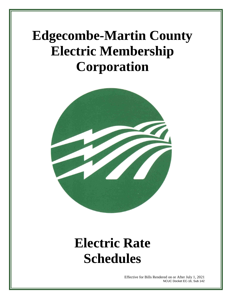# **Edgecombe-Martin County Electric Membership Corporation**



# **Electric Rate Schedules**

Effective for Bills Rendered on or After July 1, 2021 NCUC Docket EC-16, Sub 142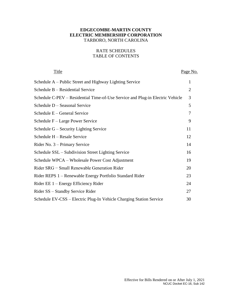# **EDGECOMBE-MARTIN COUNTY ELECTRIC MEMBERSHIP CORPORATION** TARBORO, NORTH CAROLINA

# RATE SCHEDULES TABLE OF CONTENTS

| Title                                                                         | Page No. |
|-------------------------------------------------------------------------------|----------|
| Schedule A – Public Street and Highway Lighting Service                       | 1        |
| Schedule B - Residential Service                                              | 2        |
| Schedule C-PEV - Residential Time-of-Use Service and Plug-in Electric Vehicle | 3        |
| Schedule D - Seasonal Service                                                 | 5        |
| Schedule E – General Service                                                  | 7        |
| Schedule F – Large Power Service                                              | 9        |
| Schedule G – Security Lighting Service                                        | 11       |
| Schedule H - Resale Service                                                   | 12       |
| Rider No. 3 – Primary Service                                                 | 14       |
| Schedule SSL – Subdivision Street Lighting Service                            | 16       |
| Schedule WPCA – Wholesale Power Cost Adjustment                               | 19       |
| Rider SRG - Small Renewable Generation Rider                                  | 20       |
| Rider REPS 1 – Renewable Energy Portfolio Standard Rider                      | 23       |
| Rider EE 1 – Energy Efficiency Rider                                          | 24       |
| Rider SS – Standby Service Rider                                              | 27       |
| Schedule EV-CSS – Electric Plug-In Vehicle Charging Station Service           | 30       |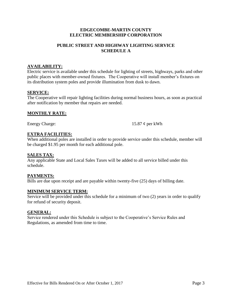# **PUBLIC STREET AND HIGHWAY LIGHTING SERVICE SCHEDULE A**

## **AVAILABILITY:**

Electric service is available under this schedule for lighting of streets, highways, parks and other public places with member-owned fixtures. The Cooperative will install member's fixtures on its distribution system poles and provide illumination from dusk to dawn.

#### **SERVICE:**

The Cooperative will repair lighting facilities during normal business hours, as soon as practical after notification by member that repairs are needed.

### **MONTHLY RATE:**

Energy Charge: 15.87 ¢ per kWh

# **EXTRA FACILITIES:**

When additional poles are installed in order to provide service under this schedule, member will be charged \$1.95 per month for each additional pole.

#### **SALES TAX:**

Any applicable State and Local Sales Taxes will be added to all service billed under this schedule.

#### **PAYMENTS:**

Bills are due upon receipt and are payable within twenty-five (25) days of billing date.

#### **MINIMUM SERVICE TERM:**

Service will be provided under this schedule for a minimum of two (2) years in order to qualify for refund of security deposit.

#### **GENERAL:**

Service rendered under this Schedule is subject to the Cooperative's Service Rules and Regulations, as amended from time to time.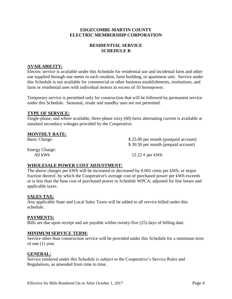# **RESIDENTIAL SERVICE SCHEDULE B**

# **AVAILABILITY:**

Electric service is available under this Schedule for residential use and incidental farm and other use supplied through one meter to each resident, farm building, or apartment unit. Service under this Schedule is not available for commercial or other business establishments, institutions, and farm or residential uses with individual motors in excess of 10 horsepower.

Temporary service is permitted only for construction that will be followed by permanent service under this Schedule. Seasonal, resale and standby uses are not permitted.

# **TYPE OF SERVICE:**

Single-phase, and where available, three-phase sixty (60) hertz alternating current is available at standard secondary voltages provided by the Cooperative.

# **MONTHLY RATE:**

Basic Charge:  $$ 25.00$  per month (postpaid account) \$ 30.50 per month (prepaid account)

Energy Charge:

All kWh  $12.22 \phi$  per kWh

# **WHOLESALE POWER COST ADJUSTMENT:**

The above charges per kWh will be increased or decreased by 0.001 cents per kWh, or major fraction thereof, by which the Cooperative's average cost of purchased power per kWh exceeds or is less than the base cost of purchased power in Schedule WPCA, adjusted for line losses and applicable taxes.

# **SALES TAX:**

Any applicable State and Local Sales Taxes will be added to all service billed under this schedule.

# **PAYMENTS:**

Bills are due upon receipt and are payable within twenty-five (25) days of billing date.

#### **MINIMUM SERVICE TERM:**

Service other than construction service will be provided under this Schedule for a minimum term of one (1) year.

# **GENERAL:**

Service rendered under this Schedule is subject to the Cooperative's Service Rules and Regulations, as amended from time to time..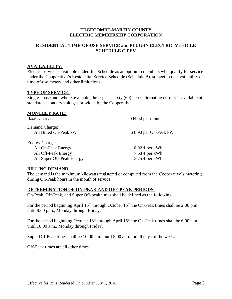## **RESIDENTIAL TIME-OF-USE SERVICE and PLUG-IN ELECTRIC VEHICLE SCHEDULE C-PEV**

# **AVAILABILITY:**

Electric service is available under this Schedule as an option to members who qualify for service under the Cooperative's Residential Service Schedule (Schedule B), subject to the availability of time-of-use meters and other limitations.

#### **TYPE OF SERVICE:**

Single-phase and, where available, three-phase sixty (60) hertz alternating current is available at standard secondary voltages provided by the Cooperative.

| <b>MONTHLY RATE:</b>      |                       |
|---------------------------|-----------------------|
| <b>Basic Charge:</b>      | $$34.50$ per month    |
| Demand Charge:            |                       |
| All Billed On-Peak kW     | \$8.90 per On-Peak kW |
| <b>Energy Charge:</b>     |                       |
| All On-Peak Energy        | 8.92 $\phi$ per kWh   |
| All Off-Peak Energy       | 7.68 $\phi$ per kWh   |
| All Super Off-Peak Energy | 3.75 $\phi$ per kWh   |
|                           |                       |

#### **BILLING DEMAND:**

The demand is the maximum kilowatts registered or computed from the Cooperative's metering during On-Peak hours in the month of service.

#### **DETERMINATION OF ON-PEAK AND OFF-PEAK PERIODS:**

On-Peak, Off-Peak, and Super Off-peak times shall be defined as the following:

For the period beginning April  $16<sup>th</sup>$  through October  $15<sup>th</sup>$  the On-Peak times shall be 2:00 p.m. until 8:00 p.m., Monday through Friday.

For the period beginning October  $16<sup>th</sup>$  through April  $15<sup>th</sup>$  the On-Peak times shall be 6:00 a.m. until 10:00 a.m., Monday through Friday.

Super Off-Peak times shall be 10:00 p.m. until 5:00 a.m. for all days of the week.

Off-Peak times are all other times.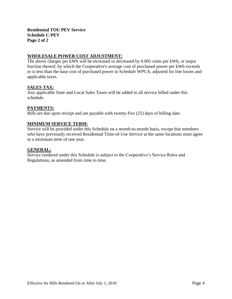**Residential TOU PEV Service Schedule C-PEV Page 2 of 2**

# **WHOLESALE POWER COST ADJUSTMENT:**

The above charges per kWh will be increased or decreased by 0.001 cents per kWh, or major fraction thereof, by which the Cooperative's average cost of purchased power per kWh exceeds or is less than the base cost of purchased power in Schedule WPCA, adjusted for line losses and applicable taxes.

# **SALES TAX:**

Any applicable State and Local Sales Taxes will be added to all service billed under this schedule.

### **PAYMENTS:**

Bills are due upon receipt and are payable with twenty-five (25) days of billing date.

### **MINIMUM SERVICE TERM:**

Service will be provided under this Schedule on a month-to-month basis, except that members who have previously received Residential Time-of-Use Service at the same locations must agree to a minimum term of one year.

#### **GENERAL:**

Service rendered under this Schedule is subject to the Cooperative's Service Rules and Regulations, as amended from time to time.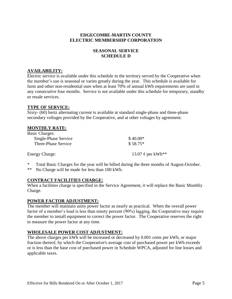## **SEASONAL SERVICE SCHEDULE D**

## **AVAILABILITY:**

Electric service is available under this schedule in the territory served by the Cooperative when the member's use is seasonal or varies greatly during the year. This schedule is available for farm and other non-residential uses when at least 70% of annual kWh requirements are used in any consecutive four months. Service is not available under this schedule for temporary, standby or resale services.

#### **TYPE OF SERVICE:**

Sixty- (60) hertz alternating current is available at standard single-phase and three-phase secondary voltages provided by the Cooperative, and at other voltages by agreement.

| <b>MONTHLY RATE:</b>  |                        |
|-----------------------|------------------------|
| <b>Basic Charges:</b> |                        |
| Single-Phase Service  | $$40.00*$              |
| Three-Phase Service   | $$58.75*$              |
| <b>Energy Charge:</b> | 13.07 $\phi$ per kWh** |

\* Total Basic Charges for the year will be billed during the three months of August-October.

\*\* No Charge will be made for less than 100 kWh.

#### **CONTRACT FACILITIES CHARGE:**

When a facilities charge is specified in the Service Agreement, it will replace the Basic Monthly Charge.

# **POWER FACTOR ADJUSTMENT:**

The member will maintain unity power factor as nearly as practical. When the overall power factor of a member's load is less than ninety percent (90%) lagging, the Cooperative may require the member to install equipment to correct the power factor. The Cooperative reserves the right to measure the power factor at any time.

#### **WHOLESALE POWER COST ADJUSTMENT:**

The above charges per kWh will be increased or decreased by 0.001 cents per kWh, or major fraction thereof, by which the Cooperative's average cost of purchased power per kWh exceeds or is less than the base cost of purchased power in Schedule WPCA, adjusted for line losses and applicable taxes.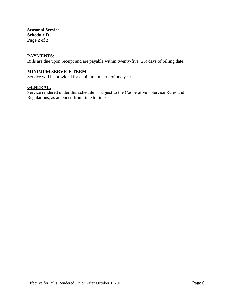**Seasonal Service Schedule D Page 2 of 2**

#### **PAYMENTS:**

Bills are due upon receipt and are payable within twenty-five (25) days of billing date.

# **MINIMUM SERVICE TERM:**

Service will be provided for a minimum term of one year.

### **GENERAL:**

Service rendered under this schedule is subject to the Cooperative's Service Rules and Regulations, as amended from time to time.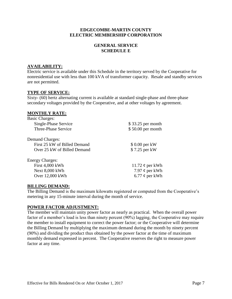# **GENERAL SERVICE SCHEDULE E**

## **AVAILABILITY:**

Electric service is available under this Schedule in the territory served by the Cooperative for nonresidential use with less than 100 kVA of transformer capacity. Resale and standby services are not permitted.

#### **TYPE OF SERVICE:**

Sixty- (60) hertz alternating current is available at standard single-phase and three-phase secondary voltages provided by the Cooperative, and at other voltages by agreement.

### **MONTHLY RATE:**

| \$33.25 per month    |
|----------------------|
| \$50.00 per month    |
|                      |
| \$ 0.00 per kW       |
| \$7.25 per kW        |
|                      |
| 11.72 $\phi$ per kWh |
| 7.97 $\phi$ per kWh  |
| 6.77 $\phi$ per kWh  |
|                      |

#### **BILLING DEMAND:**

The Billing Demand is the maximum kilowatts registered or computed from the Cooperative's metering in any 15-minute interval during the month of service.

#### **POWER FACTOR ADJUSTMENT:**

The member will maintain unity power factor as nearly as practical. When the overall power factor of a member's load is less than ninety percent (90%) lagging, the Cooperative may require the member to install equipment to correct the power factor; or the Cooperative will determine the Billing Demand by multiplying the maximum demand during the month by ninety percent (90%) and dividing the product thus obtained by the power factor at the time of maximum monthly demand expressed in percent. The Cooperative reserves the right to measure power factor at any time.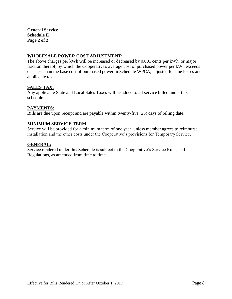**General Service Schedule E Page 2 of 2**

# **WHOLESALE POWER COST ADJUSTMENT:**

The above charges per kWh will be increased or decreased by 0.001 cents per kWh, or major fraction thereof, by which the Cooperative's average cost of purchased power per kWh exceeds or is less than the base cost of purchased power in Schedule WPCA, adjusted for line losses and applicable taxes.

# **SALES TAX:**

Any applicable State and Local Sales Taxes will be added to all service billed under this schedule.

#### **PAYMENTS:**

Bills are due upon receipt and are payable within twenty-five (25) days of billing date.

### **MINIMUM SERVICE TERM:**

Service will be provided for a minimum term of one year, unless member agrees to reimburse installation and the other costs under the Cooperative's provisions for Temporary Service.

#### **GENERAL:**

Service rendered under this Schedule is subject to the Cooperative's Service Rules and Regulations, as amended from time to time.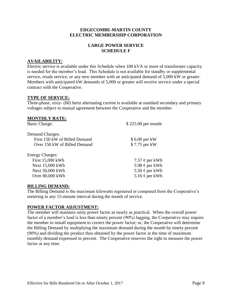# **LARGE POWER SERVICE SCHEDULE F**

### **AVAILABILITY:**

Electric service is available under this Schedule when 100 kVA or more of transformer capacity is needed for the member's load. This Schedule is not available for standby or supplemental service, resale service, or any new member with an anticipated demand of 5,000 kW or greater. Members with anticipated kW demands of 5,000 or greater will receive service under a special contract with the Cooperative.

### **TYPE OF SERVICE:**

Three-phase, sixty- (60) hertz alternating current is available at standard secondary and primary voltages subject to mutual agreement between the Cooperative and the member.

| $$225.00$ per month |
|---------------------|
|                     |
| \$6.00 per kW       |
| \$7.75 per kW       |
|                     |
| 7.57 $\phi$ per kWh |
| 5.98 $\phi$ per kWh |
| 5.50 $\phi$ per kWh |
| 5.16 $\phi$ per kWh |
|                     |

#### **BILLING DEMAND:**

The Billing Demand is the maximum kilowatts registered or computed from the Cooperative's metering in any 15-minute interval during the month of service.

#### **POWER FACTOR ADJUSTMENT:**

The member will maintain unity power factor as nearly as practical. When the overall power factor of a member's load is less than ninety percent (90%) lagging, the Cooperative may require the member to install equipment to correct the power factor; or, the Cooperative will determine the Billing Demand by multiplying the maximum demand during the month by ninety percent (90%) and dividing the product thus obtained by the power factor at the time of maximum monthly demand expressed in percent. The Cooperative reserves the right to measure the power factor at any time.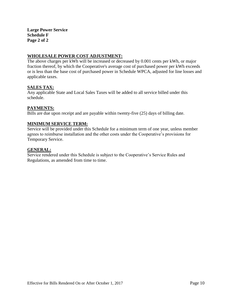# **WHOLESALE POWER COST ADJUSTMENT:**

The above charges per kWh will be increased or decreased by 0.001 cents per kWh, or major fraction thereof, by which the Cooperative's average cost of purchased power per kWh exceeds or is less than the base cost of purchased power in Schedule WPCA, adjusted for line losses and applicable taxes.

# **SALES TAX:**

Any applicable State and Local Sales Taxes will be added to all service billed under this schedule.

#### **PAYMENTS:**

Bills are due upon receipt and are payable within twenty-five (25) days of billing date.

### **MINIMUM SERVICE TERM:**

Service will be provided under this Schedule for a minimum term of one year, unless member agrees to reimburse installation and the other costs under the Cooperative's provisions for Temporary Service.

#### **GENERAL:**

Service rendered under this Schedule is subject to the Cooperative's Service Rules and Regulations, as amended from time to time.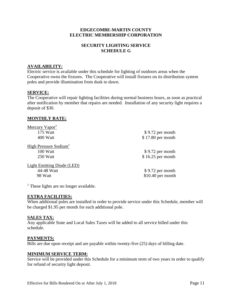# **SECURITY LIGHTING SERVICE SCHEDULE G**

# **AVAILABILITY:**

Electric service is available under this schedule for lighting of outdoors areas when the Cooperative owns the fixtures. The Cooperative will install fixtures on its distribution system poles and provide illumination from dusk to dawn.

# **SERVICE:**

The Cooperative will repair lighting facilities during normal business hours, as soon as practical after notification by member that repairs are needed. Installation of any security light requires a deposit of \$30.

### **MONTHLY RATE:**

| Mercury Vapor <sup>1</sup>        |                    |
|-----------------------------------|--------------------|
| 175 Watt                          | $$9.72$ per month  |
| 400 Watt                          | \$17.80 per month  |
| High Pressure Sodium <sup>1</sup> |                    |
| 100 Watt                          | \$9.72 per month   |
| 250 Watt                          | $$16.25$ per month |
| <b>Light Emitting Diode (LED)</b> |                    |
| 44-48 Watt                        | \$9.72 per month   |
| 98 Watt                           | $$10.40$ per month |

<sup>1</sup> These lights are no longer available.

# **EXTRA FACILITIES:**

When additional poles are installed in order to provide service under this Schedule, member will be charged \$1.95 per month for each additional pole.

#### **SALES TAX:**

Any applicable State and Local Sales Taxes will be added to all service billed under this schedule.

#### **PAYMENTS:**

Bills are due upon receipt and are payable within twenty-five (25) days of billing date.

#### **MINIMUM SERVICE TERM:**

Service will be provided under this Schedule for a minimum term of two years in order to qualify for refund of security light deposit.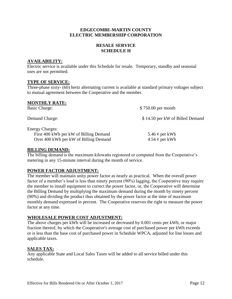# **RESALE SERVICE SCHEDULE H**

# **AVAILABILITY:**

Electric service is available under this Schedule for resale. Temporary, standby and seasonal uses are not permitted.

### **TYPE OF SERVICE:**

Three-phase sixty- (60) hertz alternating current is available at standard primary voltages subject to mutual agreement between the Cooperative and the member.

#### **MONTHLY RATE:**

| Basic Charge:                                                                                             | \$750.00 per month                         |
|-----------------------------------------------------------------------------------------------------------|--------------------------------------------|
| Demand Charge:                                                                                            | \$14.50 per kW of Billed Demand            |
| <b>Energy Charges:</b><br>First 400 kWh per kW of Billing Demand<br>Over 400 kWh per kW of Billing Demand | 5.46 $\phi$ per kWh<br>4.54 $\phi$ per kWh |

#### **BILLING DEMAND:**

The billing demand is the maximum kilowatts registered or computed from the Cooperative's metering in any 15-minute interval during the month of service.

# **POWER FACTOR ADJUSTMENT:**

The member will maintain unity power factor as nearly as practical. When the overall power factor of a member's load is less than ninety percent (90%) lagging, the Cooperative may require the member to install equipment to correct the power factor, or, the Cooperative will determine the Billing Demand by multiplying the maximum demand during the month by ninety percent (90%) and dividing the product thus obtained by the power factor at the time of maximum monthly demand expressed in percent. The Cooperative reserves the right to measure the power factor at any time.

#### **WHOLESALE POWER COST ADJUSTMENT:**

The above charges per kWh will be increased or decreased by 0.001 cents per kWh, or major fraction thereof, by which the Cooperative's average cost of purchased power per kWh exceeds or is less than the base cost of purchased power in Schedule WPCA, adjusted for line losses and applicable taxes.

# **SALES TAX:**

Any applicable State and Local Sales Taxes will be added to all service billed under this schedule.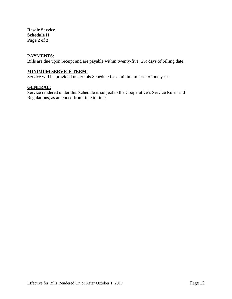**Resale Service Schedule H Page 2 of 2**

#### **PAYMENTS:**

Bills are due upon receipt and are payable within twenty-five (25) days of billing date.

# **MINIMUM SERVICE TERM:**

Service will be provided under this Schedule for a minimum term of one year.

### **GENERAL:**

Service rendered under this Schedule is subject to the Cooperative's Service Rules and Regulations, as amended from time to time.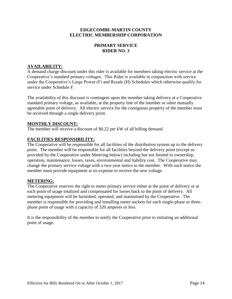# **PRIMARY SERVICE RIDER NO. 3**

# **AVAILABILITY:**

A demand charge discount under this rider is available for members taking electric service at the Cooperative's standard primary voltages. This Rider is available in conjunction with service under the Cooperative's Large Power (F) and Resale (H) Schedules which otherwise qualify for service under Schedule F.

The availability of this discount is contingent upon the member taking delivery at a Cooperative standard primary voltage, as available, at the property line of the member or other mutually agreeable point of delivery. All electric service for the contiguous property of the member must be received through a single delivery point.

### **MONTHLY DISCOUNT:**

The member will receive a discount of \$0.22 per kW of all billing demand.

### **FACILITIES RESPONSIBILITY:**

The Cooperative will be responsible for all facilities of the distribution system up to the delivery point. The member will be responsible for all facilities beyond the delivery point (except as provided by the Cooperative under Metering below) including but not limited to ownership, operation, maintenance, losses, taxes, environmental and liability cost. The Cooperative may change the primary service voltage with a two-year notice to the member. With such notice the member must provide equipment at its expense to receive the new voltage.

#### **METERING:**

The Cooperative reserves the right to meter primary service either at the point of delivery or at each point of usage totalized and compensated for losses back to the point of delivery. All metering equipment will be furnished, operated, and maintained by the Cooperative. The member is responsible for providing and installing meter sockets for each single-phase or threephase point of usage with a capacity of 320 amperes or less.

It is the responsibility of the member to notify the Cooperative prior to initiating an additional point of usage.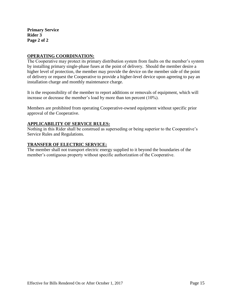**Primary Service Rider 3 Page 2 of 2**

# **OPERATING COORDINATION:**

The Cooperative may protect its primary distribution system from faults on the member's system by installing primary single-phase fuses at the point of delivery. Should the member desire a higher level of protection, the member may provide the device on the member side of the point of delivery or request the Cooperative to provide a higher-level device upon agreeing to pay an installation charge and monthly maintenance charge.

It is the responsibility of the member to report additions or removals of equipment, which will increase or decrease the member's load by more than ten percent (10%).

Members are prohibited from operating Cooperative-owned equipment without specific prior approval of the Cooperative.

# **APPLICABILITY OF SERVICE RULES:**

Nothing in this Rider shall be construed as superseding or being superior to the Cooperative's Service Rules and Regulations.

### **TRANSFER OF ELECTRIC SERVICE:**

The member shall not transport electric energy supplied to it beyond the boundaries of the member's contiguous property without specific authorization of the Cooperative.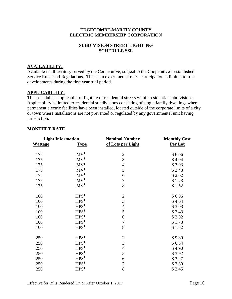# **SUBDIVISION STREET LIGHTING SCHEDULE SSL**

# **AVAILABILITY:**

Available in all territory served by the Cooperative, subject to the Cooperative's established Service Rules and Regulations. This is an experimental rate. Participation is limited to four developments during the first year trial period.

# **APPLICABILITY:**

This schedule is applicable for lighting of residential streets within residential subdivisions. Applicability is limited to residential subdivisions consisting of single family dwellings where permanent electric facilities have been installed, located outside of the corporate limits of a city or town where installations are not prevented or regulated by any governmental unit having jurisdiction.

| <b>Light Information</b> |                  | <b>Nominal Number</b> | <b>Monthly Cost</b> |
|--------------------------|------------------|-----------------------|---------------------|
| <b>Wattage</b>           | <b>Type</b>      | of Lots per Light     | Per Lot             |
| 175                      | MV <sup>1</sup>  | $\overline{2}$        | \$6.06              |
| 175                      | MV <sup>1</sup>  | $\overline{3}$        | \$4.04              |
| 175                      | MV <sup>1</sup>  | $\overline{4}$        | \$3.03              |
| 175                      | MV <sup>1</sup>  | 5                     | \$2.43              |
| 175                      | MV <sup>1</sup>  | 6                     | \$2.02              |
| 175                      | MV <sup>1</sup>  | $\boldsymbol{7}$      | \$1.73              |
| 175                      | MV <sup>1</sup>  | 8                     | \$1.52              |
| 100                      | HPS <sup>1</sup> | $\overline{2}$        | \$6.06              |
| 100                      | HPS <sup>1</sup> | $\overline{3}$        | \$4.04              |
| 100                      | HPS <sup>1</sup> | $\overline{4}$        | \$3.03              |
| 100                      | HPS <sup>1</sup> | 5                     | \$2.43              |
| 100                      | HPS <sup>1</sup> | 6                     | \$2.02              |
| 100                      | HPS <sup>1</sup> | $\boldsymbol{7}$      | \$1.73              |
| 100                      | HPS <sup>1</sup> | 8                     | \$1.52              |
| 250                      | HPS <sup>1</sup> | $\overline{2}$        | \$9.80              |
| 250                      | HPS <sup>1</sup> | $\overline{3}$        | \$6.54              |
| 250                      | HPS <sup>1</sup> | $\overline{4}$        | \$4.90              |
| 250                      | HPS <sup>1</sup> | 5                     | \$3.92              |
| 250                      | HPS <sup>1</sup> | 6                     | \$3.27              |
| 250                      | HPS <sup>1</sup> | $\overline{7}$        | \$2.80              |
| 250                      | HPS <sup>1</sup> | 8                     | \$2.45              |

### **MONTHLY RATE**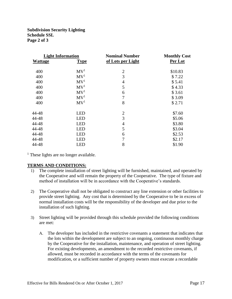#### **Subdivision Security Lighting Schedule SSL Page 2 of 3**

| <b>Wattage</b> | <b>Light Information</b><br><b>Type</b> | <b>Nominal Number</b><br>of Lots per Light | <b>Monthly Cost</b><br>Per Lot |
|----------------|-----------------------------------------|--------------------------------------------|--------------------------------|
|                |                                         |                                            |                                |
| 400            | MV <sup>1</sup>                         | $\overline{2}$                             | \$10.83                        |
| 400            | MV <sup>1</sup>                         | 3                                          | \$7.22                         |
| 400            | MV <sup>1</sup>                         | $\overline{4}$                             | \$5.41                         |
| 400            | MV <sup>1</sup>                         | 5                                          | \$4.33                         |
| 400            | MV <sup>1</sup>                         | 6                                          | \$3.61                         |
| 400            | MV <sup>1</sup>                         | $\overline{7}$                             | \$3.09                         |
| 400            | MV <sup>1</sup>                         | 8                                          | \$2.71                         |
|                |                                         |                                            |                                |
| 44-48          | <b>LED</b>                              | $\overline{2}$                             | \$7.60                         |
| 44-48          | <b>LED</b>                              | 3                                          | \$5.06                         |
| 44-48          | <b>LED</b>                              | $\overline{4}$                             | \$3.80                         |
| 44-48          | <b>LED</b>                              | 5                                          | \$3.04                         |
| 44-48          | <b>LED</b>                              | 6                                          | \$2.53                         |
| 44-48          | <b>LED</b>                              | $\overline{7}$                             | \$2.17                         |
| 44-48          | <b>LED</b>                              | 8                                          | \$1.90                         |

 $<sup>1</sup>$  These lights are no longer available.</sup>

#### **TERMS AND CONDITIONS:**

- 1) The complete installation of street lighting will be furnished, maintained, and operated by the Cooperative and will remain the property of the Cooperative. The type of fixture and method of installation will be in accordance with the Cooperative's standards.
- 2) The Cooperative shall not be obligated to construct any line extension or other facilities to provide street lighting. Any cost that is determined by the Cooperative to be in excess of normal installation costs will be the responsibility of the developer and due prior to the installation of such lighting.
- 3) Street lighting will be provided through this schedule provided the following conditions are met:
	- A. The developer has included in the restrictive covenants a statement that indicates that the lots within the development are subject to an ongoing, continuous monthly charge by the Cooperative for the installation, maintenance, and operation of street lighting. For existing developments, an amendment to the recorded restrictive covenants, if allowed, must be recorded in accordance with the terms of the covenants for modification, or a sufficient number of property owners must execute a recordable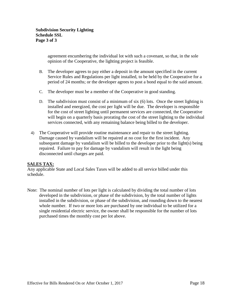agreement encumbering the individual lot with such a covenant, so that, in the sole opinion of the Cooperative, the lighting project is feasible.

- B. The developer agrees to pay either a deposit in the amount specified in the current Service Rules and Regulations per light installed, to be held by the Cooperative for a period of 24 months; or the developer agrees to post a bond equal to the said amount.
- C. The developer must be a member of the Cooperative in good standing.
- D. The subdivision must consist of a minimum of six (6) lots. Once the street lighting is installed and energized, the cost per light will be due. The developer is responsible for the cost of street lighting until permanent services are connected, the Cooperative will begin on a quarterly basis prorating the cost of the street lighting to the individual services connected, with any remaining balance being billed to the developer.
- 4) The Cooperative will provide routine maintenance and repair to the street lighting. Damage caused by vandalism will be repaired at no cost for the first incident. Any subsequent damage by vandalism will be billed to the developer prior to the light(s) being repaired. Failure to pay for damage by vandalism will result in the light being disconnected until charges are paid.

# **SALES TAX:**

Any applicable State and Local Sales Taxes will be added to all service billed under this schedule.

Note: The nominal number of lots per light is calculated by dividing the total number of lots developed in the subdivision, or phase of the subdivision, by the total number of lights installed in the subdivision, or phase of the subdivision, and rounding down to the nearest whole number. If two or more lots are purchased by one individual to be utilized for a single residential electric service, the owner shall be responsible for the number of lots purchased times the monthly cost per lot above.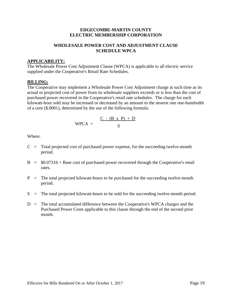# **WHOLESALE POWER COST AND ADJUSTMENT CLAUSE SCHEDULE WPCA**

### **APPLICABILITY:**

The Wholesale Power Cost Adjustment Clause (WPCA) is applicable to all electric service supplied under the Cooperative's Retail Rate Schedules.

### **BILLING:**

The Cooperative may implement a Wholesale Power Cost Adjustment charge at such time as its actual or projected cost of power from its wholesale suppliers exceeds or is less than the cost of purchased power recovered in the Cooperative's retail rate schedules. The charge for each kilowatt-hour sold may be increased or decreased by an amount to the nearest one one-hundredth of a cent (\$.0001), determined by the use of the following formula:

$$
WPCA = \frac{C - (B \times P) + D}{S}
$$

Where:

- $C =$  Total projected cost of purchased power expense, for the succeeding twelve-month period.
- $B = $0.07316 =$  Base cost of purchased power recovered through the Cooperative's retail rates.
- $P =$  The total projected kilowatt-hours to be purchased for the succeeding twelve-month period.
- $S =$  The total projected kilowatt-hours to be sold for the succeeding twelve-month period.
- $D =$ The total accumulated difference between the Cooperative's WPCA charges and the Purchased Power Costs applicable to this clause through the end of the second prior month.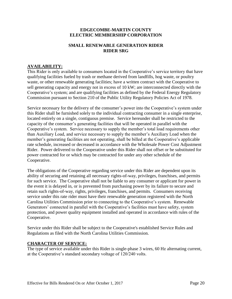# **SMALL RENEWABLE GENERATION RIDER RIDER SRG**

# **AVAILABILITY:**

This Rider is only available to consumers located in the Cooperative's service territory that have qualifying facilities fueled by trash or methane derived from landfills, hog waste, or poultry waste, or other renewable generating facilities; have a written contract with the Cooperative to sell generating capacity and energy not in excess of 10 kW; are interconnected directly with the Cooperative's system; and are qualifying facilities as defined by the Federal Energy Regulatory Commission pursuant to Section 210 of the Public Utility Regulatory Policies Act of 1978.

Service necessary for the delivery of the consumer's power into the Cooperative's system under this Rider shall be furnished solely to the individual contracting consumer in a single enterprise, located entirely on a single, contiguous premise. Service hereunder shall be restricted to the capacity of the consumer's generating facilities that will be operated in parallel with the Cooperative's system. Service necessary to supply the member's total load requirements other than Auxiliary Load, and service necessary to supply the member's Auxiliary Load when the member's generating facilities are not operating, shall be billed at the Cooperative's applicable rate schedule, increased or decreased in accordance with the Wholesale Power Cost Adjustment Rider. Power delivered to the Cooperative under this Rider shall not offset or be substituted for power contracted for or which may be contracted for under any other schedule of the Cooperative.

The obligations of the Cooperative regarding service under this Rider are dependent upon its ability of securing and retaining all necessary rights-of-way, privileges, franchises, and permits for such service. The Cooperative shall not be liable to any consumer or applicant for power in the event it is delayed in, or is prevented from purchasing power by its failure to secure and retain such rights-of-way, rights, privileges, franchises, and permits. Consumers receiving service under this rate rider must have their renewable generation registered with the North Carolina Utilities Commission prior to connecting to the Cooperative's system. Renewable Generators' connected in parallel with the Cooperative's facilities must have safety, system protection, and power quality equipment installed and operated in accordance with rules of the Cooperative.

Service under this Rider shall be subject to the Cooperative's established Service Rules and Regulations as filed with the North Carolina Utilities Commission.

#### **CHARACTER OF SERVICE:**

The type of service available under this Rider is single-phase 3 wires, 60 Hz alternating current, at the Cooperative's standard secondary voltage of 120/240 volts.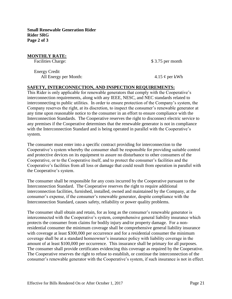**Small Renewable Generation Rider Rider SRG Page 2 of 3**

### **MONTHLY RATE:**

Energy Credit All Energy per Month:  $4.15 \phi$  per kWh

Facilities Charge:  $$ 3.75$  per month

# **SAFETY, INTERCONNECTION, AND INSPECTION REQUIREMENTS:**

This Rider is only applicable for renewable generators that comply with the Cooperative's interconnection requirements, along with any IEEE, NESC, and NEC standards related to interconnecting to public utilities. In order to ensure protection of the Company's system, the Company reserves the right, at its discretion, to inspect the consumer's renewable generator at any time upon reasonable notice to the consumer in an effort to ensure compliance with the Interconnection Standards. The Cooperative reserves the right to disconnect electric service to any premises if the Cooperative determines that the renewable generator is not in compliance with the Interconnection Standard and is being operated in parallel with the Cooperative's system.

The consumer must enter into a specific contract providing for interconnection to the Cooperative's system whereby the consumer shall be responsible for providing suitable control and protective devices on its equipment to assure no disturbance to other consumers of the Cooperative, or to the Cooperative itself, and to protect the consumer's facilities and the Cooperative's facilities from all loss or damage that could result from operation in parallel with the Cooperative's system.

The consumer shall be responsible for any costs incurred by the Cooperative pursuant to the Interconnection Standard. The Cooperative reserves the right to require additional interconnection facilities, furnished, installed, owned and maintained by the Company, at the consumer's expense, if the consumer's renewable generator, despite compliance with the Interconnection Standard, causes safety, reliability or power quality problems.

The consumer shall obtain and retain, for as long as the consumer's renewable generator is interconnected with the Cooperative's system, comprehensive general liability insurance which protects the consumer from claims for bodily injury and/or property damage. For a nonresidential consumer the minimum coverage shall be comprehensive general liability insurance with coverage at least \$300,000 per occurrence and for a residential consumer the minimum coverage shall be at a standard homeowner's insurance policy with liability coverage in the amount of at least \$100,000 per occurrence. This insurance shall be primary for all purposes. The consumer shall provide certificates evidencing this coverage as required by the Cooperative. The Cooperative reserves the right to refuse to establish, or continue the interconnection of the consumer's renewable generator with the Cooperative's system, if such insurance is not in effect.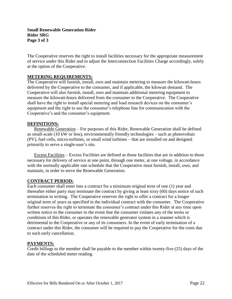The Cooperative reserves the right to install facilities necessary for the appropriate measurement of service under this Rider and to adjust the Interconnection Facilities Charge accordingly, solely at the option of the Cooperative.

### **METERING REQUIREMENTS:**

The Cooperative will furnish, install, own and maintain metering to measure the kilowatt-hours delivered by the Cooperative to the consumer, and if applicable, the kilowatt demand. The Cooperative will also furnish, install, own and maintain additional metering equipment to measure the kilowatt-hours delivered from the consumer to the Cooperative. The Cooperative shall have the right to install special metering and load research devices on the consumer's equipment and the right to use the consumer's telephone line for communication with the Cooperative's and the consumer's equipment.

#### **DEFINITIONS:**

Renewable Generation – For purposes of this Rider, Renewable Generation shall be defined as small-scale (10 kW or less), environmentally friendly technologies – such as photovoltaic (PV), fuel cells, micro-turbines, or small wind turbines – that are installed on and designed primarily to serve a single-user's site.

Excess Facilities – Excess Facilities are defined as those facilities that are in addition to those necessary for delivery of service at one point, through one meter, at one voltage, in accordance with the normally applicable rate schedule that the Cooperative must furnish, install, own, and maintain, in order to serve the Renewable Generation.

#### **CONTRACT PERIOD:**

Each consumer shall enter into a contract for a minimum original term of one (1) year and thereafter either party may terminate the contract by giving at least sixty (60) days notice of such termination in writing. The Cooperative reserves the right to offer a contract for a longer original term of years as specified in the individual contract with the consumer. The Cooperative further reserves the right to terminate the consumer's contract under this Rider at any time upon written notice to the consumer in the event that the consumer violates any of the terms or conditions of this Rider, or operates the renewable generator system in a manner which is detrimental to the Cooperative or any of its consumers. In the event of early termination of a contract under this Rider, the consumer will be required to pay the Cooperative for the costs due to such early cancellation.

# **PAYMENTS:**

Credit billings to the member shall be payable to the member within twenty-five (25) days of the date of the scheduled meter reading.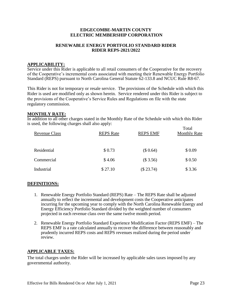#### **RENEWABLE ENERGY PORTFOLIO STANDARD RIDER RIDER REPS-2021/2022**

#### **APPLICABILITY:**

Service under this Rider is applicable to all retail consumers of the Cooperative for the recovery of the Cooperative's incremental costs associated with meeting their Renewable Energy Portfolio Standard (REPS) pursuant to North Carolina General Statute 62-133.8 and NCUC Rule R8-67.

This Rider is not for temporary or resale service. The provisions of the Schedule with which this Rider is used are modified only as shown herein. Service rendered under this Rider is subject to the provisions of the Cooperative's Service Rules and Regulations on file with the state regulatory commission.

#### **MONTHLY RATE:**

In addition to all other charges stated in the Monthly Rate of the Schedule with which this Rider is used, the following charges shall also apply:

| <b>Revenue Class</b> | <b>REPS</b> Rate | <b>REPS EMF</b> | Total<br><b>Monthly Rate</b> |
|----------------------|------------------|-----------------|------------------------------|
| Residential          | \$0.73           | (\$0.64)        | \$0.09                       |
| Commercial           | \$4.06           | (\$3.56)        | \$0.50                       |
| Industrial           | \$27.10          | (\$23.74)       | \$3.36                       |

# **DEFINITIONS:**

- 1. Renewable Energy Portfolio Standard (REPS) Rate The REPS Rate shall be adjusted annually to reflect the incremental and development costs the Cooperative anticipates incurring for the upcoming year to comply with the North Carolina Renewable Energy and Energy Efficiency Portfolio Standard divided by the weighted number of consumers projected in each revenue class over the same twelve month period.
- 2. Renewable Energy Portfolio Standard Experience Modification Factor (REPS EMF) The REPS EMF is a rate calculated annually to recover the difference between reasonably and prudently incurred REPS costs and REPS revenues realized during the period under review.

#### **APPLICABLE TAXES:**

The total charges under the Rider will be increased by applicable sales taxes imposed by any governmental authority.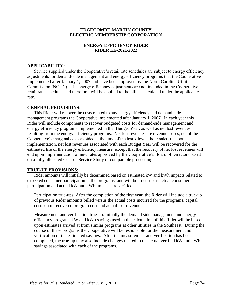#### **ENERGY EFFICIENCY RIDER RIDER EE-2021/2022**

#### **APPLICABILITY:**

Service supplied under the Cooperative's retail rate schedules are subject to energy efficiency adjustments for demand-side management and energy efficiency programs that the Cooperative implemented after January 1, 2007 and have been approved by the North Carolina Utilities Commission (NCUC). The energy efficiency adjustments are not included in the Cooperative's retail rate schedules and therefore, will be applied to the bill as calculated under the applicable rate.

#### **GENERAL PROVISIONS:**

This Rider will recover the costs related to any energy efficiency and demand-side management programs the Cooperative implemented after January 1, 2007. In each year this Rider will include components to recover budgeted costs for demand-side management and energy efficiency programs implemented in that Budget Year, as well as net lost revenues resulting from the energy efficiency programs. Net lost revenues are revenue losses, net of the Cooperative's marginal costs avoided at the time of the lost kilowatt hour sale(s). Upon implementation, net lost revenues associated with each Budget Year will be recovered for the estimated life of the energy efficiency measure, except that the recovery of net lost revenues will end upon implementation of new rates approved by the Cooperative's Board of Directors based on a fully allocated Cost-of-Service Study or comparable proceeding.

# **TRUE-UP PROVISIONS:**

Rider amounts will initially be determined based on estimated kW and kWh impacts related to expected consumer participation in the programs, and will be trued-up as actual consumer participation and actual kW and kWh impacts are verified.

Participation true-ups: After the completion of the first year, the Rider will include a true-up of previous Rider amounts billed versus the actual costs incurred for the programs, capital costs on unrecovered program cost and actual lost revenue.

Measurement and verification true-up: Initially the demand side management and energy efficiency programs kW and kWh savings used in the calculation of this Rider will be based upon estimates arrived at from similar programs at other utilities in the Southeast. During the course of these programs the Cooperative will be responsible for the measurement and verification of the estimated savings. After the measurement and verification has been completed, the true-up may also include changes related to the actual verified kW and kWh savings associated with each of the programs.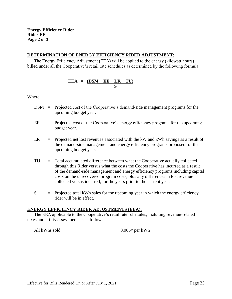### **DETERMINATION OF ENERGY EFFICIENCY RIDER ADJUSTMENT:**

The Energy Efficiency Adjustment (EEA) will be applied to the energy (kilowatt hours) billed under all the Cooperative's retail rate schedules as determined by the following formula:

# $EEA = (DSM + EE + LR + TU)$ **S**

Where:

- DSM = Projected cost of the Cooperative's demand-side management programs for the upcoming budget year.
- $EE = Projected cost of the Cooperative's energy efficiency programs for the upcoming$ budget year.
- $LR = Projected$  net lost revenues associated with the kW and kWh savings as a result of the demand-side management and energy efficiency programs proposed for the upcoming budget year.
- TU = Total accumulated difference between what the Cooperative actually collected through this Rider versus what the costs the Cooperative has incurred as a result of the demand-side management and energy efficiency programs including capital costs on the unrecovered program costs, plus any differences in lost revenue collected versus incurred, for the years prior to the current year.
- $S =$  Projected total kWh sales for the upcoming year in which the energy efficiency rider will be in effect.

#### **ENERGY EFFICIENCY RIDER ADJUSTMENTS (EEA):**

The EEA applicable to the Cooperative's retail rate schedules, including revenue-related taxes and utility assessments is as follows:

All kWhs sold 0.066¢ per kWh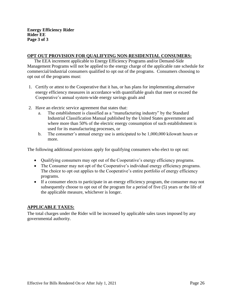### **OPT OUT PROVISION FOR QUALIFYING NON-RESIDENTIAL CONSUMERS:**

The EEA increment applicable to Energy Efficiency Programs and/or Demand-Side Management Programs will not be applied to the energy charge of the applicable rate schedule for commercial/industrial consumers qualified to opt out of the programs. Consumers choosing to opt out of the programs must:

- 1. Certify or attest to the Cooperative that it has, or has plans for implementing alternative energy efficiency measures in accordance with quantifiable goals that meet or exceed the Cooperative's annual system-wide energy savings goals and
- 2. Have an electric service agreement that states that:
	- a. The establishment is classified as a "manufacturing industry" by the Standard Industrial Classification Manual published by the United States government and where more than 50% of the electric energy consumption of such establishment is used for its manufacturing processes, or
	- b. The consumer's annual energy use is anticipated to be 1,000,000 kilowatt hours or more.

The following additional provisions apply for qualifying consumers who elect to opt out:

- Oualifying consumers may opt out of the Cooperative's energy efficiency programs.
- The Consumer may not opt of the Cooperative's individual energy efficiency programs. The choice to opt out applies to the Cooperative's entire portfolio of energy efficiency programs.
- If a consumer elects to participate in an energy efficiency program, the consumer may not subsequently choose to opt out of the program for a period of five (5) years or the life of the applicable measure, whichever is longer.

# **APPLICABLE TAXES:**

The total charges under the Rider will be increased by applicable sales taxes imposed by any governmental authority.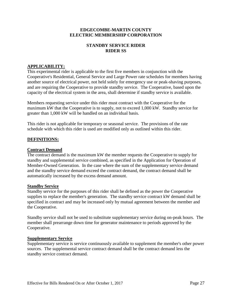# **STANDBY SERVICE RIDER RIDER SS**

# **APPLICABILITY:**

This experimental rider is applicable to the first five members in conjunction with the Cooperative's Residential, General Service and Large Power rate schedules for members having another source of electrical power, not held solely for emergency use or peak-shaving purposes, and are requiring the Cooperative to provide standby service. The Cooperative, based upon the capacity of the electrical system in the area, shall determine if standby service is available.

Members requesting service under this rider must contract with the Cooperative for the maximum kW that the Cooperative is to supply, not to exceed 1,000 kW. Standby service for greater than 1,000 kW will be handled on an individual basis.

This rider is not applicable for temporary or seasonal service. The provisions of the rate schedule with which this rider is used are modified only as outlined within this rider.

### **DEFINITIONS:**

#### **Contract Demand**

The contract demand is the maximum kW the member requests the Cooperative to supply for standby and supplemental service combined, as specified in the Application for Operation of Member-Owned Generation. In the case where the sum of the supplementary service demand and the standby service demand exceed the contract demand, the contract demand shall be automatically increased by the excess demand amount.

#### **Standby Service**

Standby service for the purposes of this rider shall be defined as the power the Cooperative supplies to replace the member's generation. The standby service contract kW demand shall be specified in contract and may be increased only by mutual agreement between the member and the Cooperative.

Standby service shall not be used to substitute supplementary service during on-peak hours. The member shall prearrange down time for generator maintenance to periods approved by the Cooperative.

#### **Supplementary Service**

Supplementary service is service continuously available to supplement the member's other power sources. The supplemental service contract demand shall be the contract demand less the standby service contract demand.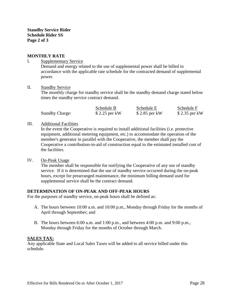**Standby Service Rider Schedule Rider SS Page 2 of 3**

## **MONTHLY RATE**

#### I. Supplementary Service

Demand and energy related to the use of supplemental power shall be billed in accordance with the applicable rate schedule for the contracted demand of supplemental power.

#### II. Standby Service

The monthly charge for standby service shall be the standby demand charge stated below times the standby service contract demand.

|                        | Schedule B    | Schedule E    | Schedule F    |
|------------------------|---------------|---------------|---------------|
| <b>Standby Charge:</b> | \$2.25 per kW | \$2.85 per kW | \$2.35 per kW |

#### III. Additional Facilities

In the event the Cooperative is required to install additional facilities (i.e. protective equipment, additional metering equipment, etc.) to accommodate the operation of the member's generator in parallel with the Cooperative, the member shall pay the Cooperative a contribution-in-aid of construction equal to the estimated installed cost of the facilities.

#### IV. On-Peak Usage

The member shall be responsible for notifying the Cooperative of any use of standby service. If it is determined that the use of standby service occurred during the on-peak hours, except for prearranged maintenance, the minimum billing demand used for supplemental service shall be the contract demand.

#### **DETERMINATION OF ON-PEAK AND OFF-PEAK HOURS**

For the purposes of standby service, on-peak hours shall be defined as:

- A. The hours between 10:00 a.m. and 10:00 p.m., Monday through Friday for the months of April through September; and
- B. The hours between 6:00 a.m. and 1:00 p.m., and between 4:00 p.m. and 9:00 p.m., Monday through Friday for the months of October through March.

#### **SALES TAX:**

Any applicable State and Local Sales Taxes will be added to all service billed under this schedule.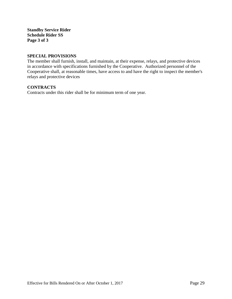**Standby Service Rider Schedule Rider SS Page 3 of 3**

#### **SPECIAL PROVISIONS**

The member shall furnish, install, and maintain, at their expense, relays, and protective devices in accordance with specifications furnished by the Cooperative. Authorized personnel of the Cooperative shall, at reasonable times, have access to and have the right to inspect the member's relays and protective devices

# **CONTRACTS**

Contracts under this rider shall be for minimum term of one year.